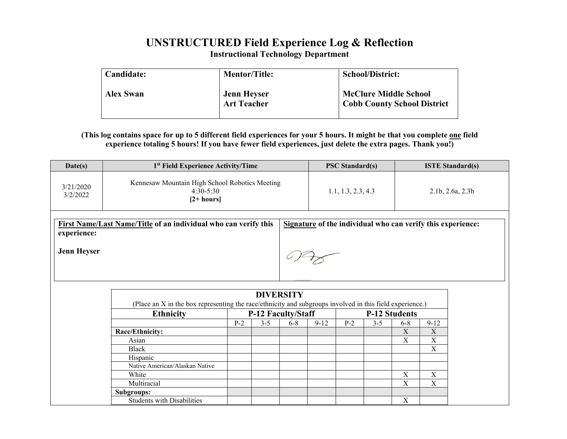# **UNSTRUCTURED Field Experience Log & Reflection**

**Instructional Technology Department**

| Candidate:       | <b>Mentor/Title:</b>                     | <b>School/District:</b>                                            |
|------------------|------------------------------------------|--------------------------------------------------------------------|
| <b>Alex Swan</b> | <b>Jenn Heyser</b><br><b>Art Teacher</b> | <b>McClure Middle School</b><br><b>Cobb County School District</b> |

# **(This log contains space for up to 5 different field experiences for your 5 hours. It might be that you complete one field experience totaling 5 hours! If you have fewer field experiences, just delete the extra pages. Thank you!)**

| Date(s)                           | 1 <sup>st</sup> Field Experience Activity/Time                                | <b>PSC Standard(s)</b> | <b>ISTE Standard(s)</b>                                     |  |
|-----------------------------------|-------------------------------------------------------------------------------|------------------------|-------------------------------------------------------------|--|
| 3/21/2020<br>3/2/2022             | Kennesaw Mountain High School Robotics Meeting<br>$4:30-5:30$<br>$[2+ hours]$ | 1.1, 1.3, 2.3, 4.3     | 2.1b, 2.6a, 2.3b                                            |  |
| experience:<br><b>Jenn Heyser</b> | First Name/Last Name/Title of an individual who can verify this               |                        | Signature of the individual who can verify this experience: |  |

| <b>Ethnicity</b>               |       | <b>P-12 Faculty/Staff</b> |         |          |       | <b>P-12 Students</b> |         |          |  |  |
|--------------------------------|-------|---------------------------|---------|----------|-------|----------------------|---------|----------|--|--|
|                                | $P-2$ | 3-5                       | $6 - 8$ | $9 - 12$ | $P-2$ | $3-5$                | $6 - 8$ | $9 - 12$ |  |  |
| Race/Ethnicity:                |       |                           |         |          |       |                      | X       | X        |  |  |
| Asian                          |       |                           |         |          |       |                      | X       | X        |  |  |
| Black                          |       |                           |         |          |       |                      |         | X        |  |  |
| Hispanic                       |       |                           |         |          |       |                      |         |          |  |  |
| Native American/Alaskan Native |       |                           |         |          |       |                      |         |          |  |  |
| White                          |       |                           |         |          |       |                      | X       | X        |  |  |
| Multiracial                    |       |                           |         |          |       |                      | Χ       | X        |  |  |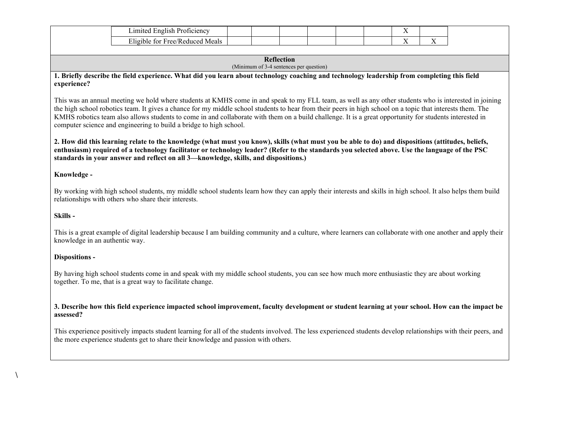| . oficiency<br>unolish!<br>$\mathbf{1}$<br>∟ımıte⁄ |  |  |  | $\sim$ 1<br>. . |    |
|----------------------------------------------------|--|--|--|-----------------|----|
| --<br>Meals<br>/Reducec                            |  |  |  | - -             | -- |

### **Reflection** (Minimum of 3-4 sentences per question)

**1. Briefly describe the field experience. What did you learn about technology coaching and technology leadership from completing this field experience?** 

This was an annual meeting we hold where students at KMHS come in and speak to my FLL team, as well as any other students who is interested in joining the high school robotics team. It gives a chance for my middle school students to hear from their peers in high school on a topic that interests them. The KMHS robotics team also allows students to come in and collaborate with them on a build challenge. It is a great opportunity for students interested in computer science and engineering to build a bridge to high school.

**2. How did this learning relate to the knowledge (what must you know), skills (what must you be able to do) and dispositions (attitudes, beliefs, enthusiasm) required of a technology facilitator or technology leader? (Refer to the standards you selected above. Use the language of the PSC standards in your answer and reflect on all 3—knowledge, skills, and dispositions.)**

# **Knowledge -**

By working with high school students, my middle school students learn how they can apply their interests and skills in high school. It also helps them build relationships with others who share their interests.

# **Skills -**

**\** 

This is a great example of digital leadership because I am building community and a culture, where learners can collaborate with one another and apply their knowledge in an authentic way.

# **Dispositions -**

By having high school students come in and speak with my middle school students, you can see how much more enthusiastic they are about working together. To me, that is a great way to facilitate change.

# **3. Describe how this field experience impacted school improvement, faculty development or student learning at your school. How can the impact be assessed?**

This experience positively impacts student learning for all of the students involved. The less experienced students develop relationships with their peers, and the more experience students get to share their knowledge and passion with others.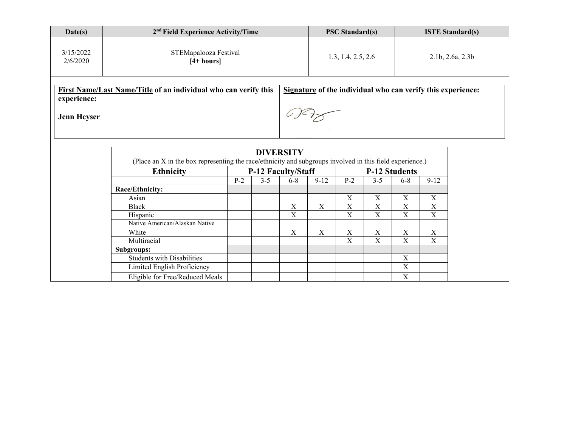| Date(s)                                                                                                                                                             | 2 <sup>nd</sup> Field Experience Activity/Time                                                                               |       |         |                    |                | <b>PSC Standard(s)</b>    |                              |                     | <b>ISTE Standard(s)</b> |  |  |  |
|---------------------------------------------------------------------------------------------------------------------------------------------------------------------|------------------------------------------------------------------------------------------------------------------------------|-------|---------|--------------------|----------------|---------------------------|------------------------------|---------------------|-------------------------|--|--|--|
| 3/15/2022<br>2/6/2020                                                                                                                                               | STEMapalooza Festival<br>$[4+ hours]$                                                                                        |       |         |                    |                | 1.3, 1.4, 2.5, 2.6        |                              |                     | 2.1b, 2.6a, 2.3b        |  |  |  |
| First Name/Last Name/Title of an individual who can verify this<br>Signature of the individual who can verify this experience:<br>experience:<br><b>Jenn Heyser</b> |                                                                                                                              |       |         |                    |                |                           |                              |                     |                         |  |  |  |
|                                                                                                                                                                     |                                                                                                                              |       |         |                    |                |                           |                              |                     |                         |  |  |  |
|                                                                                                                                                                     | <b>DIVERSITY</b><br>(Place an X in the box representing the race/ethnicity and subgroups involved in this field experience.) |       |         |                    |                |                           |                              |                     |                         |  |  |  |
|                                                                                                                                                                     | <b>Ethnicity</b>                                                                                                             |       |         | P-12 Faculty/Staff | P-12 Students  |                           |                              |                     |                         |  |  |  |
|                                                                                                                                                                     |                                                                                                                              | $P-2$ | $3 - 5$ | $6 - 8$            | $9 - 12$       | $P-2$                     | $3 - 5$                      | $6 - 8$             | $9 - 12$                |  |  |  |
|                                                                                                                                                                     | Race/Ethnicity:                                                                                                              |       |         |                    |                |                           |                              |                     |                         |  |  |  |
|                                                                                                                                                                     | Asian<br><b>Black</b>                                                                                                        |       |         | $\mathbf X$        | $\overline{X}$ | X<br>$\overline{X}$       | X<br>$\overline{\mathbf{X}}$ | X<br>$\overline{X}$ | $\mathbf X$<br>X        |  |  |  |
|                                                                                                                                                                     | Hispanic                                                                                                                     |       |         | $\mathbf X$        |                | $\boldsymbol{\mathrm{X}}$ | $\mathbf X$                  | $\mathbf X$         | $\mathbf X$             |  |  |  |
|                                                                                                                                                                     | Native American/Alaskan Native                                                                                               |       |         |                    |                |                           |                              |                     |                         |  |  |  |
|                                                                                                                                                                     | White                                                                                                                        |       |         | $\mathbf X$        | $\mathbf X$    | $\boldsymbol{\mathrm{X}}$ | $\mathbf X$                  | $\mathbf X$         | $\mathbf X$             |  |  |  |
|                                                                                                                                                                     | Multiracial                                                                                                                  |       |         |                    |                | $\overline{X}$            | $\overline{X}$               | $\overline{X}$      | X                       |  |  |  |
|                                                                                                                                                                     | Subgroups:                                                                                                                   |       |         |                    |                |                           |                              |                     |                         |  |  |  |
|                                                                                                                                                                     | <b>Students with Disabilities</b>                                                                                            |       |         |                    |                |                           |                              | $\mathbf X$         |                         |  |  |  |
|                                                                                                                                                                     | Limited English Proficiency                                                                                                  |       |         |                    |                |                           |                              | $\overline{X}$      |                         |  |  |  |
|                                                                                                                                                                     | Eligible for Free/Reduced Meals                                                                                              |       |         |                    |                |                           |                              | $\mathbf X$         |                         |  |  |  |